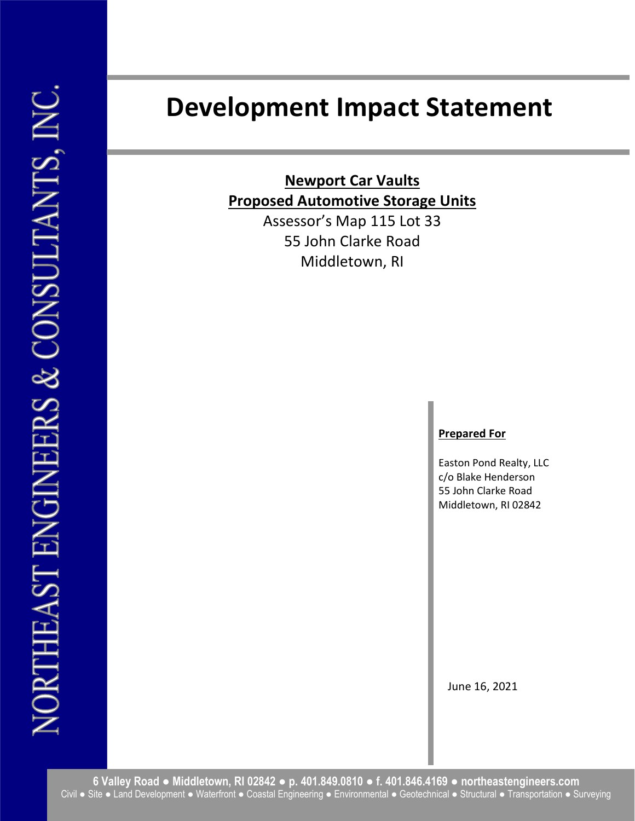# Development Impact Statement

Newport Car Vaults Proposed Automotive Storage Units

> Assessor's Map 115 Lot 33 55 John Clarke Road Middletown, RI

# Prepared For

Easton Pond Realty, LLC c/o Blake Henderson 55 John Clarke Road Middletown, RI 02842

June 16, 2021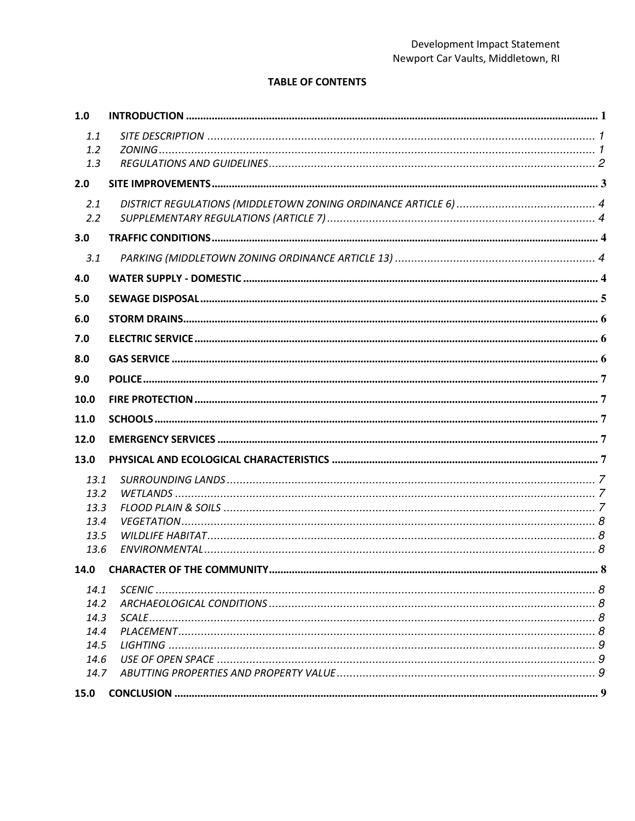# **TABLE OF CONTENTS**

| 1.0  |  |  |  |
|------|--|--|--|
| 1.1  |  |  |  |
| 1.2  |  |  |  |
| 1.3  |  |  |  |
| 2.0  |  |  |  |
| 2.1  |  |  |  |
| 2.2  |  |  |  |
| 3.0  |  |  |  |
| 3.1  |  |  |  |
| 4.0  |  |  |  |
| 5.0  |  |  |  |
| 6.0  |  |  |  |
| 7.0  |  |  |  |
| 8.0  |  |  |  |
| 9.0  |  |  |  |
| 10.0 |  |  |  |
|      |  |  |  |
| 11.0 |  |  |  |
| 12.0 |  |  |  |
| 13.0 |  |  |  |
| 13.1 |  |  |  |
| 13.2 |  |  |  |
| 13.3 |  |  |  |
| 13.4 |  |  |  |
| 13.5 |  |  |  |
| 13.6 |  |  |  |
| 14.0 |  |  |  |
| 14.1 |  |  |  |
| 14.2 |  |  |  |
| 14.3 |  |  |  |
| 14.4 |  |  |  |
| 14.5 |  |  |  |
| 14.6 |  |  |  |
| 14.7 |  |  |  |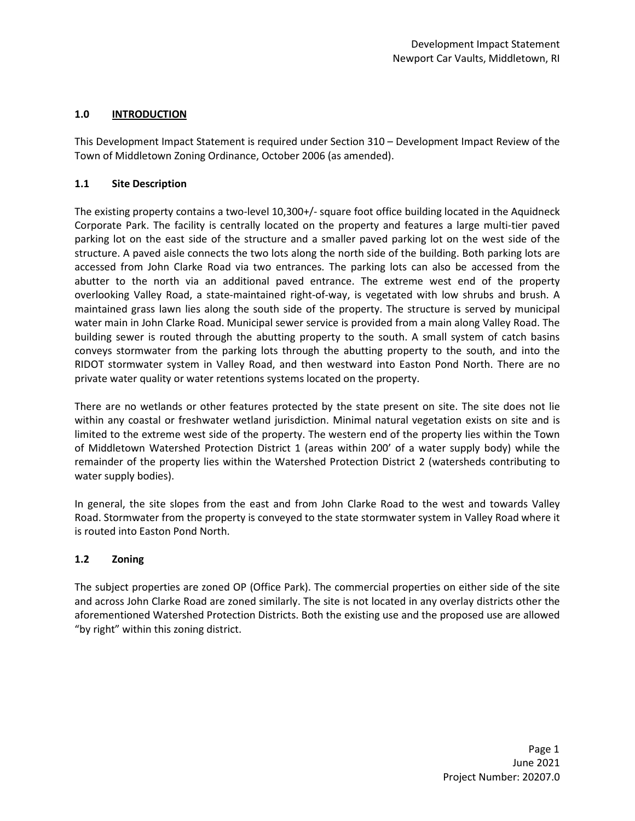# 1.0 INTRODUCTION

This Development Impact Statement is required under Section 310 – Development Impact Review of the Town of Middletown Zoning Ordinance, October 2006 (as amended).

### 1.1 Site Description

The existing property contains a two-level 10,300+/- square foot office building located in the Aquidneck Corporate Park. The facility is centrally located on the property and features a large multi-tier paved parking lot on the east side of the structure and a smaller paved parking lot on the west side of the structure. A paved aisle connects the two lots along the north side of the building. Both parking lots are accessed from John Clarke Road via two entrances. The parking lots can also be accessed from the abutter to the north via an additional paved entrance. The extreme west end of the property overlooking Valley Road, a state-maintained right-of-way, is vegetated with low shrubs and brush. A maintained grass lawn lies along the south side of the property. The structure is served by municipal water main in John Clarke Road. Municipal sewer service is provided from a main along Valley Road. The building sewer is routed through the abutting property to the south. A small system of catch basins conveys stormwater from the parking lots through the abutting property to the south, and into the RIDOT stormwater system in Valley Road, and then westward into Easton Pond North. There are no private water quality or water retentions systems located on the property.

There are no wetlands or other features protected by the state present on site. The site does not lie within any coastal or freshwater wetland jurisdiction. Minimal natural vegetation exists on site and is limited to the extreme west side of the property. The western end of the property lies within the Town of Middletown Watershed Protection District 1 (areas within 200' of a water supply body) while the remainder of the property lies within the Watershed Protection District 2 (watersheds contributing to water supply bodies).

In general, the site slopes from the east and from John Clarke Road to the west and towards Valley Road. Stormwater from the property is conveyed to the state stormwater system in Valley Road where it is routed into Easton Pond North.

### 1.2 Zoning

The subject properties are zoned OP (Office Park). The commercial properties on either side of the site and across John Clarke Road are zoned similarly. The site is not located in any overlay districts other the aforementioned Watershed Protection Districts. Both the existing use and the proposed use are allowed "by right" within this zoning district.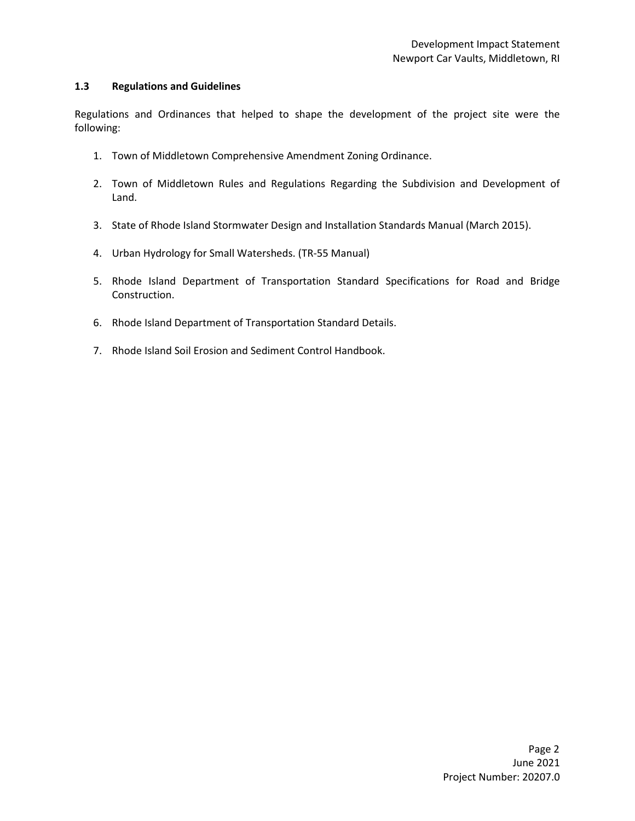#### 1.3 Regulations and Guidelines

Regulations and Ordinances that helped to shape the development of the project site were the following:

- 1. Town of Middletown Comprehensive Amendment Zoning Ordinance.
- 2. Town of Middletown Rules and Regulations Regarding the Subdivision and Development of Land.
- 3. State of Rhode Island Stormwater Design and Installation Standards Manual (March 2015).
- 4. Urban Hydrology for Small Watersheds. (TR-55 Manual)
- 5. Rhode Island Department of Transportation Standard Specifications for Road and Bridge Construction.
- 6. Rhode Island Department of Transportation Standard Details.
- 7. Rhode Island Soil Erosion and Sediment Control Handbook.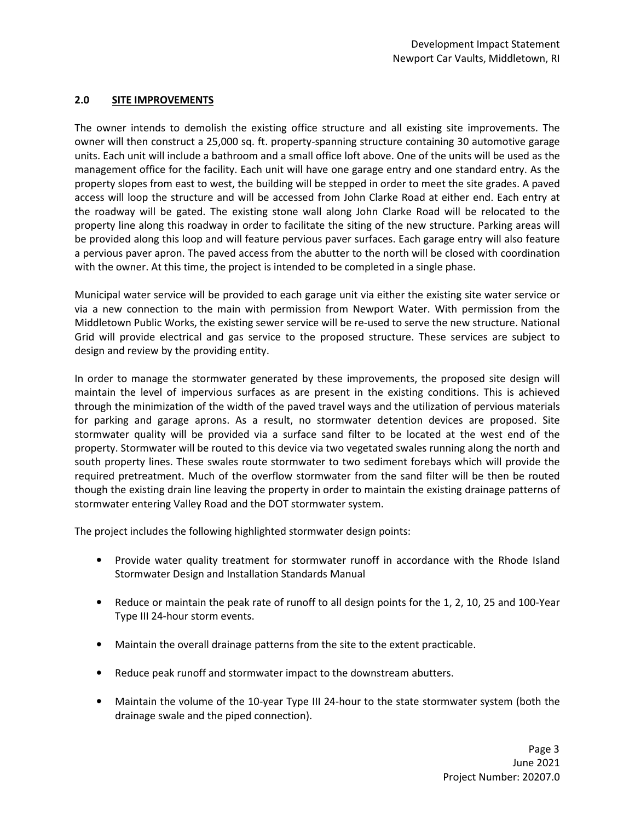# 2.0 SITE IMPROVEMENTS

The owner intends to demolish the existing office structure and all existing site improvements. The owner will then construct a 25,000 sq. ft. property-spanning structure containing 30 automotive garage units. Each unit will include a bathroom and a small office loft above. One of the units will be used as the management office for the facility. Each unit will have one garage entry and one standard entry. As the property slopes from east to west, the building will be stepped in order to meet the site grades. A paved access will loop the structure and will be accessed from John Clarke Road at either end. Each entry at the roadway will be gated. The existing stone wall along John Clarke Road will be relocated to the property line along this roadway in order to facilitate the siting of the new structure. Parking areas will be provided along this loop and will feature pervious paver surfaces. Each garage entry will also feature a pervious paver apron. The paved access from the abutter to the north will be closed with coordination with the owner. At this time, the project is intended to be completed in a single phase.

Municipal water service will be provided to each garage unit via either the existing site water service or via a new connection to the main with permission from Newport Water. With permission from the Middletown Public Works, the existing sewer service will be re-used to serve the new structure. National Grid will provide electrical and gas service to the proposed structure. These services are subject to design and review by the providing entity.

In order to manage the stormwater generated by these improvements, the proposed site design will maintain the level of impervious surfaces as are present in the existing conditions. This is achieved through the minimization of the width of the paved travel ways and the utilization of pervious materials for parking and garage aprons. As a result, no stormwater detention devices are proposed. Site stormwater quality will be provided via a surface sand filter to be located at the west end of the property. Stormwater will be routed to this device via two vegetated swales running along the north and south property lines. These swales route stormwater to two sediment forebays which will provide the required pretreatment. Much of the overflow stormwater from the sand filter will be then be routed though the existing drain line leaving the property in order to maintain the existing drainage patterns of stormwater entering Valley Road and the DOT stormwater system.

The project includes the following highlighted stormwater design points:

- Provide water quality treatment for stormwater runoff in accordance with the Rhode Island Stormwater Design and Installation Standards Manual
- Reduce or maintain the peak rate of runoff to all design points for the 1, 2, 10, 25 and 100-Year Type III 24-hour storm events.
- Maintain the overall drainage patterns from the site to the extent practicable.
- Reduce peak runoff and stormwater impact to the downstream abutters.
- Maintain the volume of the 10-year Type III 24-hour to the state stormwater system (both the drainage swale and the piped connection).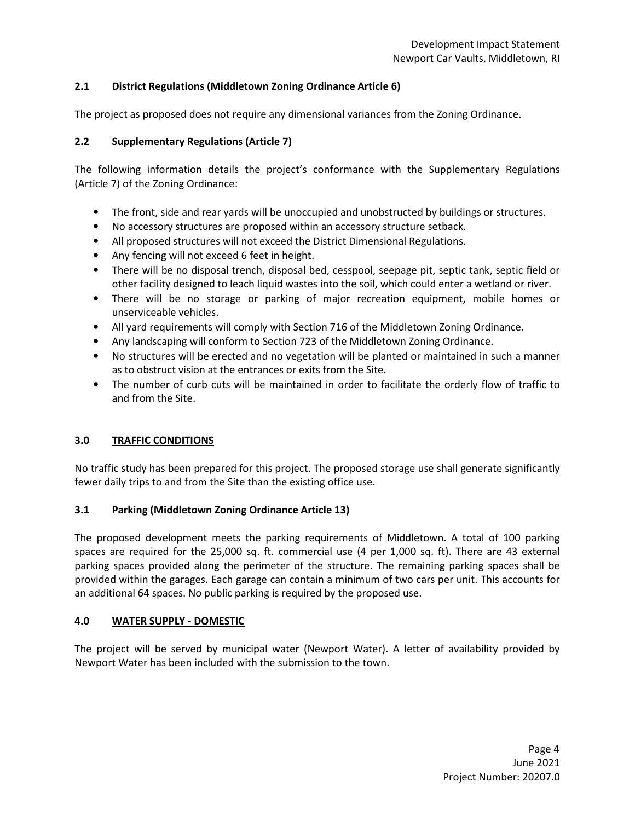# 2.1 District Regulations (Middletown Zoning Ordinance Article 6)

The project as proposed does not require any dimensional variances from the Zoning Ordinance.

# 2.2 Supplementary Regulations (Article 7)

The following information details the project's conformance with the Supplementary Regulations (Article 7) of the Zoning Ordinance:

- The front, side and rear yards will be unoccupied and unobstructed by buildings or structures.
- No accessory structures are proposed within an accessory structure setback.
- All proposed structures will not exceed the District Dimensional Regulations.
- Any fencing will not exceed 6 feet in height.
- There will be no disposal trench, disposal bed, cesspool, seepage pit, septic tank, septic field or other facility designed to leach liquid wastes into the soil, which could enter a wetland or river.
- There will be no storage or parking of major recreation equipment, mobile homes or unserviceable vehicles.
- All yard requirements will comply with Section 716 of the Middletown Zoning Ordinance.
- Any landscaping will conform to Section 723 of the Middletown Zoning Ordinance.
- No structures will be erected and no vegetation will be planted or maintained in such a manner as to obstruct vision at the entrances or exits from the Site.
- The number of curb cuts will be maintained in order to facilitate the orderly flow of traffic to and from the Site.

### 3.0 TRAFFIC CONDITIONS

No traffic study has been prepared for this project. The proposed storage use shall generate significantly fewer daily trips to and from the Site than the existing office use.

### 3.1 Parking (Middletown Zoning Ordinance Article 13)

The proposed development meets the parking requirements of Middletown. A total of 100 parking spaces are required for the 25,000 sq. ft. commercial use (4 per 1,000 sq. ft). There are 43 external parking spaces provided along the perimeter of the structure. The remaining parking spaces shall be provided within the garages. Each garage can contain a minimum of two cars per unit. This accounts for an additional 64 spaces. No public parking is required by the proposed use.

### 4.0 WATER SUPPLY - DOMESTIC

The project will be served by municipal water (Newport Water). A letter of availability provided by Newport Water has been included with the submission to the town.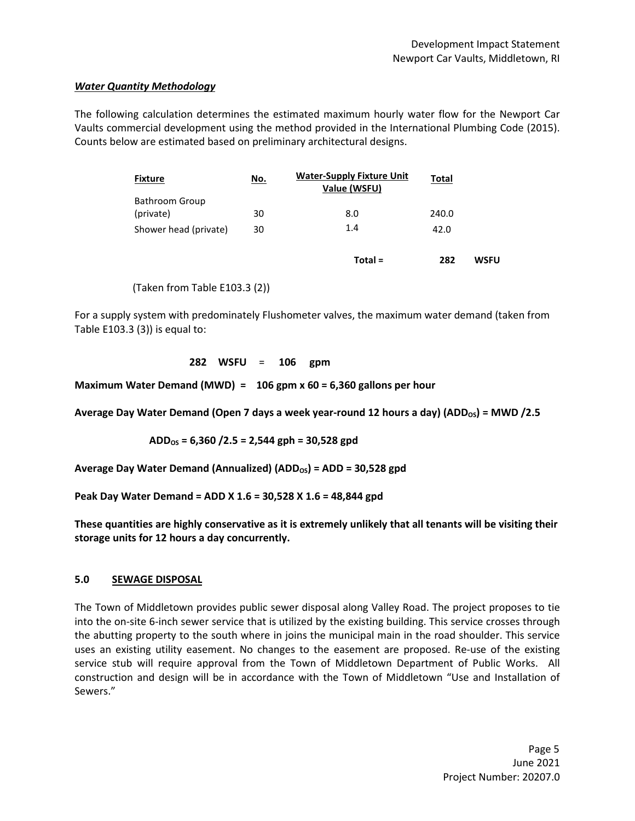### Water Quantity Methodology

The following calculation determines the estimated maximum hourly water flow for the Newport Car Vaults commercial development using the method provided in the International Plumbing Code (2015). Counts below are estimated based on preliminary architectural designs.

| <b>Fixture</b>        | <u>No.</u> | <b>Water-Supply Fixture Unit</b><br>Value (WSFU) | Total |             |
|-----------------------|------------|--------------------------------------------------|-------|-------------|
| Bathroom Group        |            |                                                  |       |             |
| (private)             | 30         | 8.0                                              | 240.0 |             |
| Shower head (private) | 30         | 1.4                                              | 42.0  |             |
|                       |            | $Total =$                                        | 282   | <b>WSFU</b> |

(Taken from Table E103.3 (2))

For a supply system with predominately Flushometer valves, the maximum water demand (taken from Table E103.3 (3)) is equal to:

282 WSFU = 106 gpm

Maximum Water Demand (MWD) =  $106$  gpm x 60 = 6,360 gallons per hour

Average Day Water Demand (Open 7 days a week year-round 12 hours a day) (ADD<sub>OS</sub>) = MWD /2.5

 $ADD<sub>OS</sub> = 6,360 / 2.5 = 2,544$  gph = 30,528 gpd

Average Day Water Demand (Annualized) (ADD<sub>os</sub>) = ADD = 30,528 gpd

Peak Day Water Demand = ADD X 1.6 = 30,528 X 1.6 = 48,844 gpd

These quantities are highly conservative as it is extremely unlikely that all tenants will be visiting their storage units for 12 hours a day concurrently.

### 5.0 SEWAGE DISPOSAL

The Town of Middletown provides public sewer disposal along Valley Road. The project proposes to tie into the on-site 6-inch sewer service that is utilized by the existing building. This service crosses through the abutting property to the south where in joins the municipal main in the road shoulder. This service uses an existing utility easement. No changes to the easement are proposed. Re-use of the existing service stub will require approval from the Town of Middletown Department of Public Works. All construction and design will be in accordance with the Town of Middletown "Use and Installation of Sewers."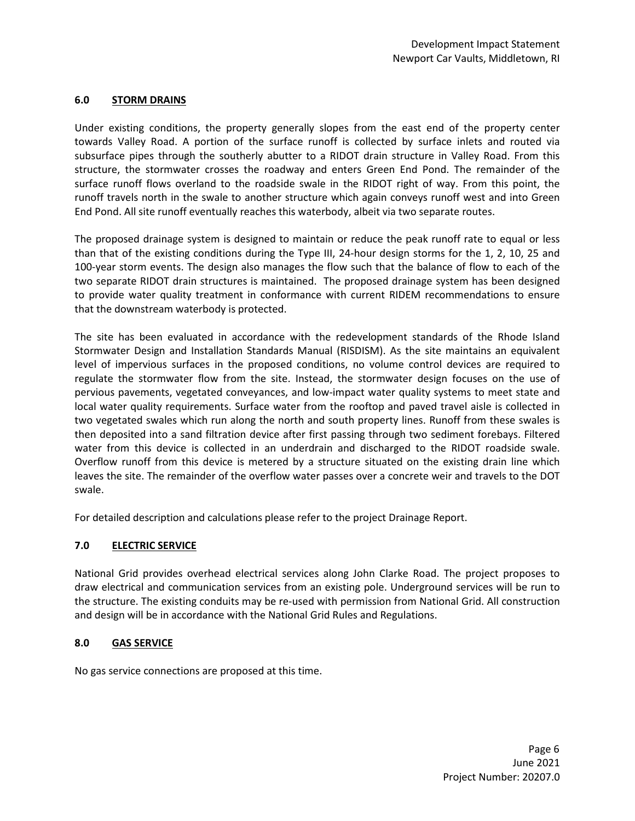### 6.0 STORM DRAINS

Under existing conditions, the property generally slopes from the east end of the property center towards Valley Road. A portion of the surface runoff is collected by surface inlets and routed via subsurface pipes through the southerly abutter to a RIDOT drain structure in Valley Road. From this structure, the stormwater crosses the roadway and enters Green End Pond. The remainder of the surface runoff flows overland to the roadside swale in the RIDOT right of way. From this point, the runoff travels north in the swale to another structure which again conveys runoff west and into Green End Pond. All site runoff eventually reaches this waterbody, albeit via two separate routes.

The proposed drainage system is designed to maintain or reduce the peak runoff rate to equal or less than that of the existing conditions during the Type III, 24-hour design storms for the 1, 2, 10, 25 and 100-year storm events. The design also manages the flow such that the balance of flow to each of the two separate RIDOT drain structures is maintained. The proposed drainage system has been designed to provide water quality treatment in conformance with current RIDEM recommendations to ensure that the downstream waterbody is protected.

The site has been evaluated in accordance with the redevelopment standards of the Rhode Island Stormwater Design and Installation Standards Manual (RISDISM). As the site maintains an equivalent level of impervious surfaces in the proposed conditions, no volume control devices are required to regulate the stormwater flow from the site. Instead, the stormwater design focuses on the use of pervious pavements, vegetated conveyances, and low-impact water quality systems to meet state and local water quality requirements. Surface water from the rooftop and paved travel aisle is collected in two vegetated swales which run along the north and south property lines. Runoff from these swales is then deposited into a sand filtration device after first passing through two sediment forebays. Filtered water from this device is collected in an underdrain and discharged to the RIDOT roadside swale. Overflow runoff from this device is metered by a structure situated on the existing drain line which leaves the site. The remainder of the overflow water passes over a concrete weir and travels to the DOT swale.

For detailed description and calculations please refer to the project Drainage Report.

# 7.0 ELECTRIC SERVICE

National Grid provides overhead electrical services along John Clarke Road. The project proposes to draw electrical and communication services from an existing pole. Underground services will be run to the structure. The existing conduits may be re-used with permission from National Grid. All construction and design will be in accordance with the National Grid Rules and Regulations.

### 8.0 GAS SERVICE

No gas service connections are proposed at this time.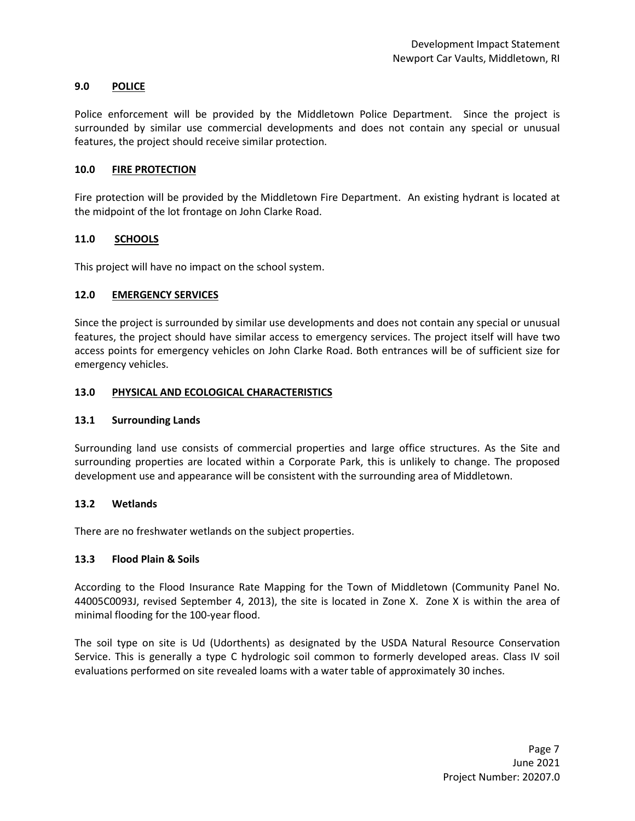#### 9.0 POLICE

Police enforcement will be provided by the Middletown Police Department. Since the project is surrounded by similar use commercial developments and does not contain any special or unusual features, the project should receive similar protection.

#### 10.0 FIRE PROTECTION

Fire protection will be provided by the Middletown Fire Department. An existing hydrant is located at the midpoint of the lot frontage on John Clarke Road.

#### 11.0 SCHOOLS

This project will have no impact on the school system.

#### 12.0 EMERGENCY SERVICES

Since the project is surrounded by similar use developments and does not contain any special or unusual features, the project should have similar access to emergency services. The project itself will have two access points for emergency vehicles on John Clarke Road. Both entrances will be of sufficient size for emergency vehicles.

#### 13.0 PHYSICAL AND ECOLOGICAL CHARACTERISTICS

#### 13.1 Surrounding Lands

Surrounding land use consists of commercial properties and large office structures. As the Site and surrounding properties are located within a Corporate Park, this is unlikely to change. The proposed development use and appearance will be consistent with the surrounding area of Middletown.

#### 13.2 Wetlands

There are no freshwater wetlands on the subject properties.

#### 13.3 Flood Plain & Soils

According to the Flood Insurance Rate Mapping for the Town of Middletown (Community Panel No. 44005C0093J, revised September 4, 2013), the site is located in Zone X. Zone X is within the area of minimal flooding for the 100-year flood.

The soil type on site is Ud (Udorthents) as designated by the USDA Natural Resource Conservation Service. This is generally a type C hydrologic soil common to formerly developed areas. Class IV soil evaluations performed on site revealed loams with a water table of approximately 30 inches.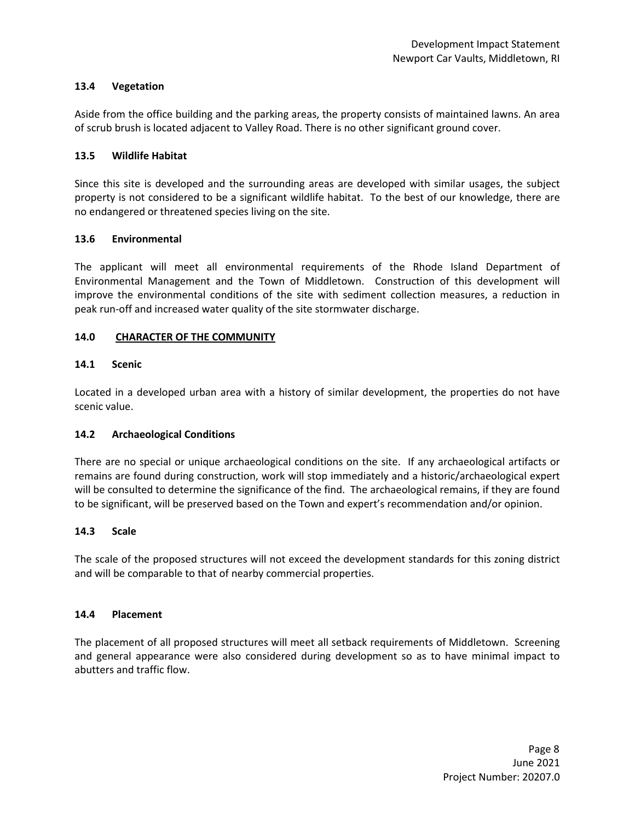#### 13.4 Vegetation

Aside from the office building and the parking areas, the property consists of maintained lawns. An area of scrub brush is located adjacent to Valley Road. There is no other significant ground cover.

#### 13.5 Wildlife Habitat

Since this site is developed and the surrounding areas are developed with similar usages, the subject property is not considered to be a significant wildlife habitat. To the best of our knowledge, there are no endangered or threatened species living on the site.

#### 13.6 Environmental

The applicant will meet all environmental requirements of the Rhode Island Department of Environmental Management and the Town of Middletown. Construction of this development will improve the environmental conditions of the site with sediment collection measures, a reduction in peak run-off and increased water quality of the site stormwater discharge.

#### 14.0 CHARACTER OF THE COMMUNITY

### 14.1 Scenic

Located in a developed urban area with a history of similar development, the properties do not have scenic value.

### 14.2 Archaeological Conditions

There are no special or unique archaeological conditions on the site. If any archaeological artifacts or remains are found during construction, work will stop immediately and a historic/archaeological expert will be consulted to determine the significance of the find. The archaeological remains, if they are found to be significant, will be preserved based on the Town and expert's recommendation and/or opinion.

#### 14.3 Scale

The scale of the proposed structures will not exceed the development standards for this zoning district and will be comparable to that of nearby commercial properties.

#### 14.4 Placement

The placement of all proposed structures will meet all setback requirements of Middletown. Screening and general appearance were also considered during development so as to have minimal impact to abutters and traffic flow.